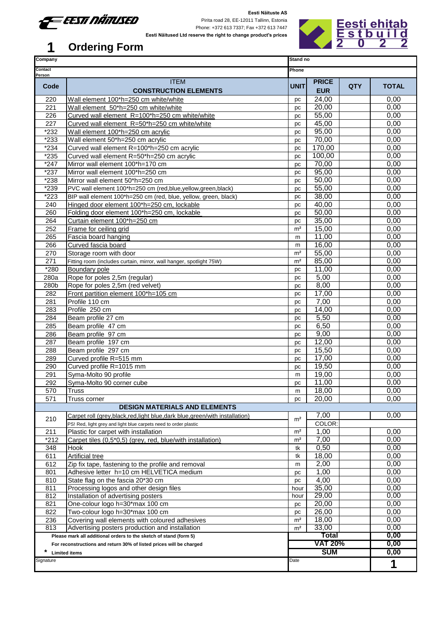

Pirita road 28, EE-12011 Tallinn, Estonia Phone: +372 613 7337; Fax +372 613 7447 **Eesti Näitused Ltd reserve the right to change product's prices**



| Company           |                                                                                                   | Stand no       |                            |            |              |
|-------------------|---------------------------------------------------------------------------------------------------|----------------|----------------------------|------------|--------------|
| Contact<br>Person |                                                                                                   | Phone          |                            |            |              |
| Code              | <b>ITEM</b><br><b>CONSTRUCTION ELEMENTS</b>                                                       | <b>UNIT</b>    | <b>PRICE</b><br><b>EUR</b> | <b>QTY</b> | <b>TOTAL</b> |
| 220               | Wall element 100*h=250 cm white/white                                                             | pc             | 24,00                      |            | 0,00         |
| 221               | Wall element 50*h=250 cm white/white                                                              | pc             | 20,00                      |            | 0,00         |
| 226               | Curved wall element R=100*h=250 cm white/white                                                    | pc             | 55,00                      |            | 0,00         |
| 227               | Curved wall element R=50*h=250 cm white/white                                                     | pc             | 45,00                      |            | 0,00         |
| *232              | Wall element 100*h=250 cm acrylic                                                                 | pc             | 95,00                      |            | 0,00         |
| *233              | Wall element 50*h=250 cm acrylic                                                                  | pc             | 70,00                      |            | 0,00         |
| $*234$            | Curved wall element R=100*h=250 cm acrylic                                                        | pc             | 170,00                     |            | 0,00         |
| *235              | Curved wall element R=50*h=250 cm acrylic                                                         | pс             | 100,00                     |            | 0,00         |
| $*247$            | Mirror wall element 100*h=170 cm                                                                  | pc             | 70,00                      |            | 0,00         |
| $*237$            | Mirror wall element 100*h=250 cm                                                                  | pc             | 95,00                      |            | 0,00         |
| *238              | Mirror wall element 50*h=250 cm                                                                   | pc             | 50,00                      |            | 0,00         |
| $*239$            | PVC wall element 100*h=250 cm (red,blue,yellow,green,black)                                       | pc             | 55,00                      |            | 0,00         |
| *223              | BIP wall element 100*h=250 cm (red, blue, yellow, green, black)                                   | pc             | 38,00                      |            | 0,00         |
| 240               | Hinged door element 100*h=250 cm, lockable                                                        | pc             | 40,00                      |            | 0,00         |
| 260               | Folding door element 100*h=250 cm, lockable                                                       | pc             | 50,00                      |            | 0,00         |
| 264               | Curtain element 100*h=250 cm                                                                      | pc             | 35,00                      |            | 0,00         |
| 252               | Frame for ceiling grid                                                                            | m <sup>2</sup> | 15,00                      |            | 0,00         |
| 265               | Fascia board hanging                                                                              | m              | 11,00                      |            | 0,00         |
| 266               | Curved fascia board                                                                               | m              | 16,00                      |            | 0,00         |
| 270               | Storage room with door                                                                            | m <sup>2</sup> | 55,00                      |            | 0,00         |
| 271               | Fitting room (includes curtain, mirror, wall hanger, spotlight 75W)                               | m <sup>2</sup> | 85,00                      |            | 0,00         |
| *280              | <b>Boundary pole</b>                                                                              | pc             | 11,00                      |            | 0,00         |
| 280a              | Rope for poles 2,5m (regular)                                                                     | pc             | 5,00                       |            | 0,00         |
| 280b              | Rope for poles 2,5m (red velvet)                                                                  | pc             | 8,00<br>17,00              |            | 0,00         |
| 282<br>281        | Front partition element 100*h=105 cm<br>Profile 110 cm                                            | pc             | 7,00                       |            | 0,00<br>0,00 |
|                   | Profile 250 cm                                                                                    | pc             |                            |            | 0,00         |
| 283<br>284        | Beam profile 27 cm                                                                                | pc<br>pc       | 14,00<br>5,50              |            | 0,00         |
| 285               | Beam profile 47 cm                                                                                | pc             | 6,50                       |            | 0,00         |
| 286               | Beam profile 97 cm                                                                                | pc             | 9,00                       |            | 0,00         |
| 287               | Beam profile 197 cm                                                                               | pc             | 12,00                      |            | 0,00         |
| 288               | Beam profile 297 cm                                                                               | pc             | 15,50                      |            | 0,00         |
| 289               | Curved profile R=515 mm                                                                           | pc             | 17,00                      |            | 0,00         |
| 290               | Curved profile R=1015 mm                                                                          | pc             | 19,50                      |            | 0,00         |
| 291               | Syma-Molto 90 profile                                                                             | m              | 19,00                      |            | 0,00         |
| 292               | Syma-Molto 90 corner cube                                                                         | pс             | 11,00                      |            | 0,00         |
| 570               | <b>Truss</b>                                                                                      | m              | 18,00                      |            | 0,00         |
| 571               | Truss corner                                                                                      | рc             | 20,00                      |            | 0,00         |
|                   | <b>DESIGN MATERIALS AND ELEMENTS</b>                                                              |                |                            |            |              |
|                   | Carpet roll (grey, black, red, light blue, dark blue, green/with installation)                    | m <sup>2</sup> | 7,00                       |            | 0,00         |
| 210               | PS! Red, light grey and light blue carpets need to order plastic                                  |                | COLOR:                     |            |              |
| 211               | Plastic for carpet with installation                                                              | m <sup>2</sup> | 1,00                       |            | 0,00         |
| $*212$            | Carpet tiles (0,5*0,5) (grey, red, blue/with installation)                                        | m <sup>2</sup> | 7,00                       |            | 0,00         |
| 348               | Hook                                                                                              | tk             | 0,50                       |            | 0,00         |
| 611               | <b>Artificial tree</b>                                                                            | tk             | 18,00                      |            | 0,00         |
| 612               | Zip fix tape, fastening to the profile and removal                                                | m              | 2,00                       |            | 0,00         |
| 801               | Adhesive letter h=10 cm HELVETICA medium                                                          | pс             | 1,00                       |            | 0,00         |
| 810               | State flag on the fascia 20*30 cm                                                                 | pc             | 4,00                       |            | 0,00         |
| 811               | Processing logos and other design files                                                           | hour           | 35,00                      |            | 0,00         |
| 812               | Installation of advertising posters                                                               | hour           | 29,00                      |            | 0,00         |
| 821               | One-colour logo h=30*max 100 cm                                                                   | pc             | 20,00                      |            | 0,00         |
| 822               | Two-colour logo h=30*max 100 cm                                                                   | pc             | 26,00                      |            | 0,00         |
| 236<br>813        | Covering wall elements with coloured adhesives<br>Advertising posters production and installation | m <sup>2</sup> | 18,00<br>33,00             |            | 0,00<br>0,00 |
|                   | Please mark all additional orders to the sketch of stand (form 5)                                 | m <sup>2</sup> | <b>Total</b>               |            | 0,00         |
|                   | For reconstructions and return 30% of listed prices will be charged                               |                | <b>VAT 20%</b>             |            | 0,00         |
| *                 | <b>Limited items</b>                                                                              |                | <b>SUM</b>                 |            | 0,00         |
| Signature         |                                                                                                   | Date           |                            |            |              |
|                   |                                                                                                   |                |                            |            | 1            |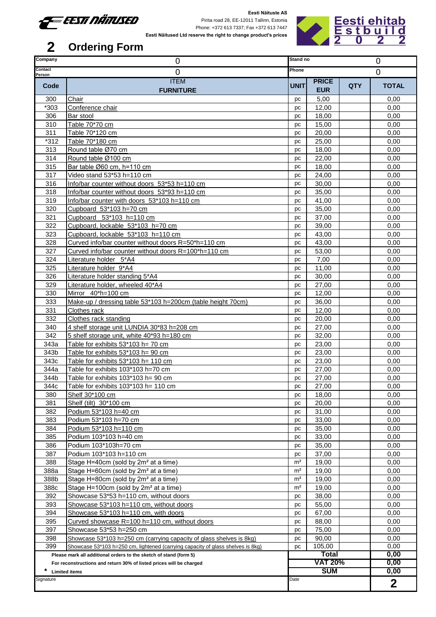

Pirita road 28, EE-12011 Tallinn, Estonia Phone: +372 613 7337; Fax +372 613 7447



#### **Eesti Näitused Ltd reserve the right to change product's prices**

| Company           | 0                                                                               | Stand no<br>0  |                |            |                |  |
|-------------------|---------------------------------------------------------------------------------|----------------|----------------|------------|----------------|--|
| Contact<br>Person | 0                                                                               | Phone          |                |            | $\overline{0}$ |  |
|                   | <b>ITEM</b>                                                                     |                | <b>PRICE</b>   |            |                |  |
| Code              | <b>FURNITURE</b>                                                                | <b>UNIT</b>    | <b>EUR</b>     | <b>QTY</b> | <b>TOTAL</b>   |  |
| 300               | Chair                                                                           | рc             | 5,00           |            | 0,00           |  |
| *303              | Conference chair                                                                | pc             | 12,00          |            | 0,00           |  |
| 306               | Bar stool                                                                       | рc             | 18,00          |            | 0,00           |  |
| 310               | Table 70*70 cm                                                                  | pc             | 15,00          |            | 0,00           |  |
| 311               | Table 70*120 cm                                                                 | pc             | 20,00          |            | 0,00           |  |
| $*312$            | Table 70*180 cm                                                                 | pc             | 25,00          |            | 0,00           |  |
| 313               | Round table Ø70 cm                                                              | pc             | 18,00          |            | 0,00           |  |
| 314               | Round table Ø100 cm                                                             | pc             | 22,00          |            | 0,00           |  |
| 315               | Bar table Ø60 cm, h=110 cm                                                      | рc             | 18,00          |            | 0,00           |  |
| 317               | Video stand 53*53 h=110 cm                                                      | pc             | 24,00          |            | 0,00           |  |
| 316               | Info/bar counter without doors 53*53 h=110 cm                                   | pc             | 30,00          |            | 0,00           |  |
| 318               | Info/bar counter without doors 53*93 h=110 cm                                   | pc             | 35,00          |            | 0,00           |  |
| 319               | Info/bar counter with doors 53*103 h=110 cm                                     | pc             | 41,00          |            | 0,00           |  |
| 320               | Cupboard 53*103 h=70 cm                                                         | pc             | 35,00          |            | 0,00           |  |
| 321               | Cupboard 53*103 h=110 cm                                                        | pc             | 37,00          |            | 0,00           |  |
| 322               | Cupboard, lockable 53*103 h=70 cm                                               | pc             | 39,00          |            | 0,00           |  |
| 323               | Cupboard, lockable 53*103 h=110 cm                                              | pc             | 43,00          |            | 0,00           |  |
| 328               | Curved info/bar counter without doors R=50*h=110 cm                             | pc             | 43,00          |            | 0,00           |  |
| 327               | Curved info/bar counter without doors R=100*h=110 cm                            | рc             | 53,00          |            | 0,00           |  |
| 324               | Literature holder 5*A4                                                          | рc             | 7,00           |            | 0,00           |  |
| 325               | Literature holder 9*A4                                                          | pc             | 11,00          |            | 0,00           |  |
| 326               | Literature holder standing 5*A4                                                 | рc             | 30,00          |            | 0,00           |  |
| 329               | Literature holder, wheeled 40*A4                                                | pc             | 27,00          |            | 0,00           |  |
| 330               | Mirror 40*h=100 cm                                                              | pc             | 12,00          |            | 0,00           |  |
| 333               | Make-up / dressing table 53*103 h=200cm (table height 70cm)                     | pc             | 36,00          |            | 0,00           |  |
| 331               | Clothes rack                                                                    | pc             | 12,00          |            | 0,00           |  |
| 332               | Clothes rack standing                                                           | pc             | 20,00          |            | 0,00           |  |
| 340               | 4 shelf storage unit LUNDIA 30*83 h=208 cm                                      | pc             | 27,00          |            | 0,00           |  |
| 342               | 5 shelf storage unit, white 40*93 h=180 cm                                      | pc             | 32,00          |            | 0,00           |  |
| 343a              | Table for exhibits 53*103 h= 70 cm                                              | pc             | 23,00          |            | 0,00           |  |
| 343b              | Table for exhibits $53*103$ h= 90 cm                                            | pc             | 23,00          |            | 0,00           |  |
| 343c              | Table for exhibits 53*103 h= 110 cm                                             | рc             | 23,00          |            | 0,00           |  |
| 344a              | Table for exhibits 103*103 h=70 cm                                              | pc             | 27,00          |            | 0,00           |  |
| 344b              | Table for exhibits 103*103 h= 90 cm                                             | pc             | 27,00          |            | 0,00           |  |
| 344c              | Table for exhibits 103*103 h= 110 cm                                            | pc             | 27,00          |            | 0,00           |  |
| 380               | Shelf 30*100 cm                                                                 | рc             | 18,00          |            | 0,00           |  |
| 381               | Shelf (tilt) 30*100 cm                                                          | рc             | 20,00          |            | 0,00           |  |
| 382               | Podium 53*103 h=40 cm                                                           | pc             | 31,00          |            | 0,00           |  |
| 383               | Podium 53*103 h=70 cm                                                           | рc             | 33,00          |            | 0,00           |  |
| 384<br>385        | Podium 53*103 h=110 cm<br>Podium 103*103 h=40 cm                                | рc             | 35,00<br>33,00 |            | 0,00<br>0,00   |  |
| 386               | Podium 103*103h=70 cm                                                           | рc             | 35,00          |            | 0,00           |  |
| 387               | Podium 103*103 h=110 cm                                                         | pc<br>рc       | 37,00          |            | 0,00           |  |
| 388               | Stage H=40cm (sold by 2m <sup>2</sup> at a time)                                | m <sup>2</sup> | 19,00          |            | 0,00           |  |
| 388a              | Stage H=60cm (sold by 2m <sup>2</sup> at a time)                                | m <sup>2</sup> | 19,00          |            | 0,00           |  |
| 388b              | Stage H=80cm (sold by 2m <sup>2</sup> at a time)                                | m <sup>2</sup> | 19,00          |            | 0,00           |  |
| 388c              | Stage H=100cm (sold by 2m <sup>2</sup> at a time)                               | m <sup>2</sup> | 19,00          |            | 0,00           |  |
| 392               | Showcase 53*53 h=110 cm, without doors                                          | рc             | 38,00          |            | 0,00           |  |
| 393               | Showcase 53*103 h=110 cm, without doors                                         | pc             | 55,00          |            | 0,00           |  |
| 394               | Showcase 53*103 h=110 cm, with doors                                            | pc             | 67,00          |            | 0,00           |  |
| 395               | Curved showcase R=100 h=110 cm, without doors                                   | рc             | 88,00          |            | 0,00           |  |
| 397               | Showcase 53*53 h=250 cm                                                         | рc             | 75,00          |            | 0,00           |  |
| 398               | Showcase 53*103 h=250 cm (carrying capacity of glass shelves is 8kg)            | pc             | 90,00          |            | 0,00           |  |
| 399               | Showcase 53*103 h=250 cm, lightened (carrying capacity of glass shelves is 8kg) | pc             | 105,00         |            | 0,00           |  |
|                   | Please mark all additional orders to the sketch of stand (form 5)               |                | <b>Total</b>   |            | 0,00           |  |
|                   | For reconstructions and return 30% of listed prices will be charged             |                | <b>VAT 20%</b> |            | 0,00           |  |
| *                 | <b>Limited items</b>                                                            |                | <b>SUM</b>     |            | 0,00           |  |
| Signature         |                                                                                 | Date           |                |            |                |  |
|                   |                                                                                 |                |                |            | $\mathbf 2$    |  |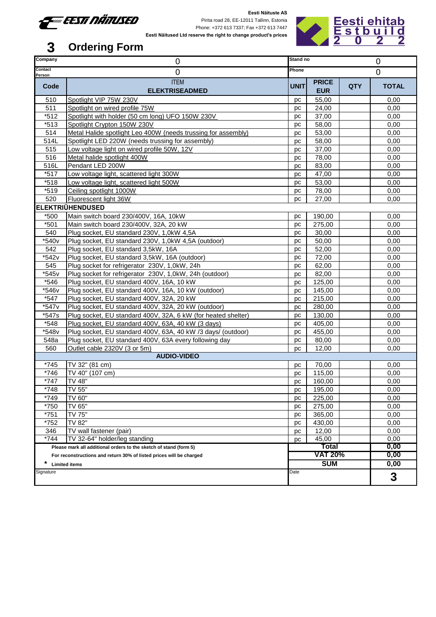

Pirita road 28, EE-12011 Tallinn, Estonia Phone: +372 613 7337; Fax +372 613 7447 **Eesti Näitused Ltd reserve the right to change product's prices**



| Company        | 0                                                                                | Stand no       |                            | 0              |              |  |  |  |  |
|----------------|----------------------------------------------------------------------------------|----------------|----------------------------|----------------|--------------|--|--|--|--|
| Contact        | 0                                                                                | Phone          |                            | $\overline{0}$ |              |  |  |  |  |
| Person<br>Code | <b>ITEM</b><br><b>ELEKTRISEADMED</b>                                             | <b>UNIT</b>    | <b>PRICE</b><br><b>EUR</b> | <b>QTY</b>     | <b>TOTAL</b> |  |  |  |  |
| 510            | Spotlight VIP 75W 230V                                                           | рc             | 55,00                      |                | 0,00         |  |  |  |  |
| 511            | Spotlight on wired profile 75W                                                   | рc             | 24,00                      |                | 0,00         |  |  |  |  |
| $*512$         | Spotlight with holder (50 cm long) UFO 150W 230V<br>37,00<br>рc                  |                |                            |                |              |  |  |  |  |
| $*513$         | Spotlight Crypton 150W 230V<br>58,00<br>рc                                       |                |                            |                |              |  |  |  |  |
| 514            | Metal Halide spotlight Leo 400W (needs trussing for assembly)<br>53,00<br>рc     |                |                            |                |              |  |  |  |  |
| 514L           | 58,00<br>Spotlight LED 220W (needs trussing for assembly)<br>рc                  |                |                            |                |              |  |  |  |  |
| 515            | Low voltage light on wired profile 50W, 12V                                      | рc             | 37,00                      |                | 0,00         |  |  |  |  |
| 516            | Metal halide spotlight 400W                                                      | рc             | 78,00                      |                | 0,00         |  |  |  |  |
| 516L           | Pendant LED 200W                                                                 | рc             | 83,00                      |                | 0,00         |  |  |  |  |
| $*517$         | Low voltage light, scattered light 300W                                          | рc             | 47,00                      |                | 0,00         |  |  |  |  |
| $*518$         | Low voltage light, scattered light 500W                                          | рc             | 53,00                      |                | 0,00         |  |  |  |  |
| $*519$         | Ceiling spotlight 1000W                                                          | рc             | 78,00                      |                | 0,00         |  |  |  |  |
| 520            | Fluorescent light 36W                                                            | рc             | 27,00                      |                | 0,00         |  |  |  |  |
|                | <b>ELEKTRIÜHENDUSED</b>                                                          |                |                            |                |              |  |  |  |  |
| *500           | Main switch board 230/400V, 16A, 10kW                                            | рc             | 190,00                     |                | 0,00         |  |  |  |  |
| $*501$         | Main switch board 230/400V, 32A, 20 kW                                           | рc             | 275,00                     |                | 0,00         |  |  |  |  |
| 540            | Plug socket, EU standard 230V, 1,0kW 4,5A                                        | рc             | 30,00                      |                | 0,00         |  |  |  |  |
| *540v          | Plug socket, EU standard 230V, 1,0kW 4,5A (outdoor)                              | pc             | 50,00                      |                | 0,00<br>0,00 |  |  |  |  |
| 542            | Plug socket, EU standard 3,5kW, 16A<br>52,00<br>рc                               |                |                            |                |              |  |  |  |  |
| *542v          | Plug socket, EU standard 3,5kW, 16A (outdoor)<br>72,00<br>рc                     |                |                            |                |              |  |  |  |  |
| 545            | Plug socket for refrigerator 230V, 1,0kW, 24h                                    | рc             | 62,00                      |                | 0,00         |  |  |  |  |
| *545v          | Plug socket for refrigerator 230V, 1,0kW, 24h (outdoor)                          | рc             | 82,00                      |                | 0,00         |  |  |  |  |
| *546           | Plug socket, EU standard 400V, 16A, 10 kW                                        | рc             | 125,00                     |                | 0,00         |  |  |  |  |
| *546v          | Plug socket, EU standard 400V, 16A, 10 kW (outdoor)                              | рc             | 145,00                     |                | 0,00<br>0,00 |  |  |  |  |
| $*547$         | Plug socket, EU standard 400V, 32A, 20 kW<br>215,00<br>рc                        |                |                            |                |              |  |  |  |  |
| *547v          | Plug socket, EU standard 400V, 32A, 20 kW (outdoor)                              | рc             | 280,00                     |                | 0,00         |  |  |  |  |
| *547s          | Plug socket, EU standard 400V, 32A, 6 kW (for heated shelter)                    | рc             | 130,00                     |                | 0,00         |  |  |  |  |
| $*548$         | Plug socket, EU standard 400V, 63A, 40 kW (3 days)                               | рc             | 405,00                     |                | 0,00         |  |  |  |  |
| *548v          | Plug socket, EU standard 400V, 63A, 40 kW /3 days/ (outdoor)                     | рc             | 455,00                     |                | 0,00         |  |  |  |  |
| 548a           | Plug socket, EU standard 400V, 63A every following day                           | рc             | 80,00                      |                | 0,00         |  |  |  |  |
| 560            | Outlet cable 2320V (3 or 5m)                                                     | рc             | 12,00                      |                | 0,00         |  |  |  |  |
|                | <b>AUDIO-VIDEO</b>                                                               |                |                            |                |              |  |  |  |  |
| $*745$         | TV 32" (81 cm)                                                                   | рc             | 70,00                      |                | 0,00         |  |  |  |  |
| *746           | TV 40" (107 cm)                                                                  | рc             | 115,00                     |                | 0,00         |  |  |  |  |
| $*747$         | TV 48"                                                                           | рc             | 160,00                     |                | 0,00         |  |  |  |  |
| *748           | TV 55"                                                                           | рc             | 195,00                     |                | 0,00         |  |  |  |  |
| *749           | TV 60"                                                                           | рc             | 225,00                     |                | 0,00         |  |  |  |  |
| *750           | TV 65"                                                                           | рc             | 275,00                     |                | 0,00         |  |  |  |  |
| $*751$         | TV 75"                                                                           | рc             | 365,00                     |                | 0,00         |  |  |  |  |
| $*752$         | TV 82"                                                                           | рc             | 430,00                     |                | 0,00<br>0,00 |  |  |  |  |
| 346<br>$*744$  | 12,00<br>TV wall fastener (pair)<br>рc<br>TV 32-64" holder/leg standing<br>45,00 |                |                            |                |              |  |  |  |  |
|                | Please mark all additional orders to the sketch of stand (form 5)                | рc<br>Total    |                            |                | 0,00<br>0,00 |  |  |  |  |
|                | For reconstructions and return 30% of listed prices will be charged              | <b>VAT 20%</b> |                            | 0,00           |              |  |  |  |  |
| *              | <b>Limited items</b>                                                             | <b>SUM</b>     |                            |                | 0,00         |  |  |  |  |
| Signature      |                                                                                  | Date           |                            |                |              |  |  |  |  |
|                |                                                                                  |                |                            |                | 3            |  |  |  |  |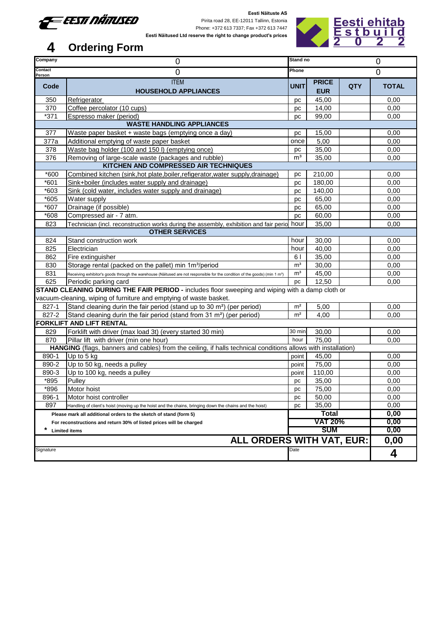

Pirita road 28, EE-12011 Tallinn, Estonia Phone: +372 613 7337; Fax +372 613 7447 **Eesti Näitused Ltd reserve the right to change product's prices**



| Company                                                                                                                                        | $\mathbf 0$                                                                                                                             | Stand no       |              |                | 0            |  |  |  |  |  |  |
|------------------------------------------------------------------------------------------------------------------------------------------------|-----------------------------------------------------------------------------------------------------------------------------------------|----------------|--------------|----------------|--------------|--|--|--|--|--|--|
| Contact<br>Person                                                                                                                              | 0                                                                                                                                       | Phone          |              |                | $\Omega$     |  |  |  |  |  |  |
| Code                                                                                                                                           | <b>ITEM</b>                                                                                                                             | <b>UNIT</b>    | <b>PRICE</b> | <b>QTY</b>     | <b>TOTAL</b> |  |  |  |  |  |  |
|                                                                                                                                                | <b>HOUSEHOLD APPLIANCES</b>                                                                                                             |                | <b>EUR</b>   |                |              |  |  |  |  |  |  |
| 350                                                                                                                                            | Refrigerator                                                                                                                            | рc             | 45,00        |                | 0,00         |  |  |  |  |  |  |
| 370                                                                                                                                            | Coffee percolator (10 cups)                                                                                                             | pc             | 14,00        |                | 0,00         |  |  |  |  |  |  |
| $*371$                                                                                                                                         | Espresso maker (period)<br>99,00<br>рc                                                                                                  |                |              |                |              |  |  |  |  |  |  |
| <b>WASTE HANDLING APPLIANCES</b>                                                                                                               |                                                                                                                                         |                |              |                |              |  |  |  |  |  |  |
| 377                                                                                                                                            | Waste paper basket + waste bags (emptying once a day)                                                                                   | рc             | 15,00        |                | 0,00         |  |  |  |  |  |  |
| 377a                                                                                                                                           | Additional emptying of waste paper basket                                                                                               | once           | 5,00         |                | 0,00         |  |  |  |  |  |  |
| 378                                                                                                                                            | Waste bag holder (100 and 150 l) (emptying once)                                                                                        | pc             | 35,00        |                | 0,00         |  |  |  |  |  |  |
| 376                                                                                                                                            | Removing of large-scale waste (packages and rubble)                                                                                     | m <sup>3</sup> | 35,00        |                | 0,00         |  |  |  |  |  |  |
|                                                                                                                                                | KITCHEN AND COMPRESSED AIR TECHNIQUES                                                                                                   |                |              |                |              |  |  |  |  |  |  |
| $*600$                                                                                                                                         | Combined kitchen (sink, hot plate, boiler, refigerator, water supply, drainage)                                                         | рc             | 210,00       |                | 0,00         |  |  |  |  |  |  |
| *601                                                                                                                                           | Sink+boiler (includes water supply and drainage)                                                                                        | рc             | 180,00       |                | 0,00         |  |  |  |  |  |  |
| *603                                                                                                                                           | Sink (cold water, includes water supply and drainage)                                                                                   | рc             | 140,00       |                | 0,00         |  |  |  |  |  |  |
| $*605$                                                                                                                                         | Water supply                                                                                                                            | рc             | 65,00        |                | 0,00         |  |  |  |  |  |  |
| *607                                                                                                                                           | Drainage (if possible)                                                                                                                  | pc             | 65,00        |                | 0,00         |  |  |  |  |  |  |
| *608                                                                                                                                           | Compressed air - 7 atm.                                                                                                                 | рc             | 60,00        |                | 0,00         |  |  |  |  |  |  |
| 823                                                                                                                                            | Technician (incl. reconstruction works during the assembly, exhibition and fair perio hour                                              |                | 35,00        |                | 0,00         |  |  |  |  |  |  |
|                                                                                                                                                | <b>OTHER SERVICES</b>                                                                                                                   |                |              |                |              |  |  |  |  |  |  |
| 824                                                                                                                                            | Stand construction work                                                                                                                 | hour           | 30,00        |                | 0,00         |  |  |  |  |  |  |
| 825                                                                                                                                            | Electrician                                                                                                                             | hour           | 40,00        |                | 0,00         |  |  |  |  |  |  |
| 862                                                                                                                                            | Fire extinguisher                                                                                                                       | 61             | 35,00        |                | 0,00         |  |  |  |  |  |  |
| 830                                                                                                                                            | Storage rental (packed on the pallet) min 1m <sup>3</sup> /period                                                                       | m <sup>3</sup> | 30,00        |                | 0,00         |  |  |  |  |  |  |
| 831                                                                                                                                            | Receiving exhibitor's goods through the warehouse (Näitused are not responsible for the condition of the goods) (min 1 m <sup>3</sup> ) | m <sup>3</sup> | 45,00        |                | 0,00<br>0,00 |  |  |  |  |  |  |
| 625<br>12,50<br>Periodic parking card<br>pc<br>STAND CLEANING DURING THE FAIR PERIOD - includes floor sweeping and wiping with a damp cloth or |                                                                                                                                         |                |              |                |              |  |  |  |  |  |  |
|                                                                                                                                                | vacuum-cleaning, wiping of furniture and emptying of waste basket.                                                                      |                |              |                |              |  |  |  |  |  |  |
|                                                                                                                                                |                                                                                                                                         | m <sup>2</sup> |              |                |              |  |  |  |  |  |  |
| 827-1<br>827-2                                                                                                                                 | Stand cleaning durin the fair period (stand up to 30 m <sup>2</sup> ) (per period)                                                      | m <sup>2</sup> | 5,00         |                | 0,00         |  |  |  |  |  |  |
|                                                                                                                                                | Stand cleaning durin the fair period (stand from 31 m <sup>2</sup> ) (per period)<br><b>FORKLIFT AND LIFT RENTAL</b>                    |                | 4,00         |                | 0,00         |  |  |  |  |  |  |
| 829                                                                                                                                            | Forklift with driver (max load 3t) (every started 30 min)                                                                               | 30 min         | 30,00        |                | 0,00         |  |  |  |  |  |  |
| 870                                                                                                                                            | Pillar lift with driver (min one hour)                                                                                                  | hour           | 75,00        |                | 0,00         |  |  |  |  |  |  |
|                                                                                                                                                | HANGING (flags, banners and cables) from the ceiling, if halls technical conditions allows with installation)                           |                |              |                |              |  |  |  |  |  |  |
| 890-1                                                                                                                                          | Up to 5 kg                                                                                                                              | point          | 45,00        |                | 0,00         |  |  |  |  |  |  |
| 890-2                                                                                                                                          | Up to 50 kg, needs a pulley                                                                                                             | point          | 75,00        |                | 0,00         |  |  |  |  |  |  |
| 890-3                                                                                                                                          | Up to 100 kg, needs a pulley                                                                                                            | point          | 110,00       |                | 0,00         |  |  |  |  |  |  |
| *895                                                                                                                                           | Pulley                                                                                                                                  | рc             | 35,00        |                | 0,00         |  |  |  |  |  |  |
| *896                                                                                                                                           | Motor hoist                                                                                                                             | рc             | 75,00        |                | 0,00         |  |  |  |  |  |  |
| 896-1                                                                                                                                          | Motor hoist controller                                                                                                                  | рc             | 50,00        |                | 0,00         |  |  |  |  |  |  |
| 897                                                                                                                                            | Handling of client's hoist (moving up the hoist and the chains, bringing down the chains and the hoist)                                 | рc             | 35,00        |                | 0,00         |  |  |  |  |  |  |
|                                                                                                                                                | Please mark all additional orders to the sketch of stand (form 5)                                                                       |                | Total        |                | 0,00         |  |  |  |  |  |  |
| For reconstructions and return 30% of listed prices will be charged                                                                            |                                                                                                                                         |                |              | <b>VAT 20%</b> | 0,00         |  |  |  |  |  |  |
| *                                                                                                                                              | <b>Limited items</b>                                                                                                                    |                | <b>SUM</b>   |                | 0,00         |  |  |  |  |  |  |
|                                                                                                                                                | <b>ALL ORDERS WITH VAT, EUR:</b>                                                                                                        |                |              |                | 0,00         |  |  |  |  |  |  |
| Signature                                                                                                                                      |                                                                                                                                         | Date           |              |                |              |  |  |  |  |  |  |
|                                                                                                                                                |                                                                                                                                         |                |              |                | 4            |  |  |  |  |  |  |